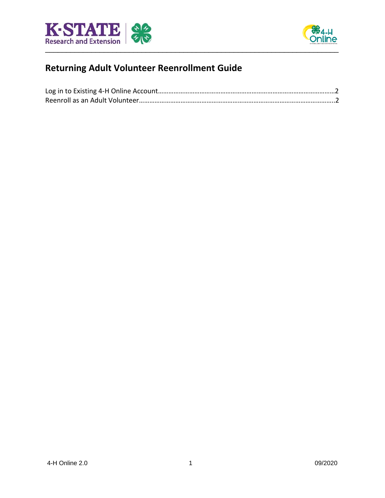



## **Returning Adult Volunteer Reenrollment Guide**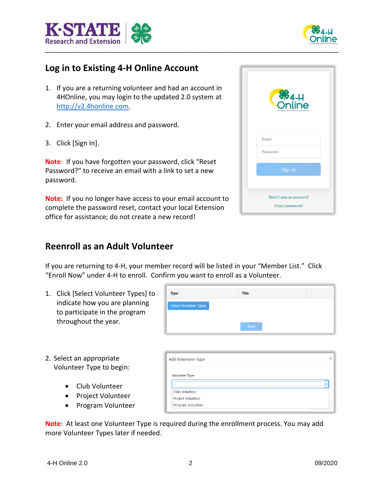



## **Log in to Existing 4-H Online Account**

- 1. If you are a returning volunteer and had an account in 4HOnline, you may login to the updated 2.0 system at [http://v2.4honline.com.](http://v2.4honline.com/)
- 2. Enter your email address and password.
- 3. Click [Sign In].

**Note**: If you have forgotten your password, click "Reset Password?" to receive an email with a link to set a new password.

**Note:** If you no longer have access to your email account to complete the password reset, contact your local Extension office for assistance; do not create a new record!

| <b>S</b> <sub>4-H</sub><br>Online<br>4-HENROLLMENT AND EVENT REGISTRATION |
|---------------------------------------------------------------------------|
| Email                                                                     |
| Password                                                                  |
| Sign in                                                                   |
| Don't have an account?<br>Reset password?                                 |

## **Reenroll as an Adult Volunteer**

If you are returning to 4-H, your member record will be listed in your "Member List." Click "Enroll Now" under 4-H to enroll. Confirm you want to enroll as a Volunteer.

1. Click [Select Volunteer Types] to indicate how you are planning to participate in the program throughout the year.

| <b>Type</b>                   | Title       |
|-------------------------------|-------------|
| <b>Select Volunteer Types</b> |             |
|                               | <b>Next</b> |

- 2. Select an appropriate Volunteer Type to begin:
	- Club Volunteer
	- Project Volunteer
	- Program Volunteer

Add Volunteer Type **Volunteer Type** Club Volunteer **Project Volunteer** Program Volunteer

**Note**: At least one Volunteer Type is required during the enrollment process. You may add more Volunteer Types later if needed.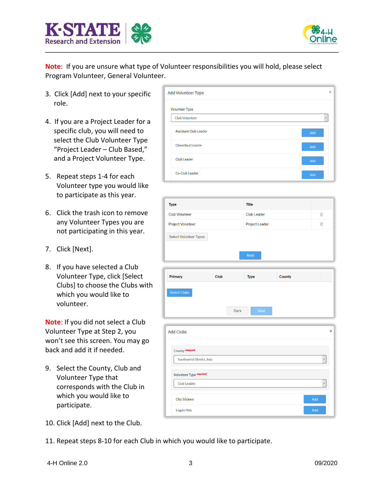



**Note**: If you are unsure what type of Volunteer responsibilities you will hold, please select Program Volunteer, General Volunteer.

- 3. Click [Add] next to your specific role.
- 4. If you are a Project Leader for a specific club, you will need to select the Club Volunteer Type "Project Leader – Club Based," and a Project Volunteer Type.
- 5. Repeat steps 1-4 for each Volunteer type you would like to participate as this year.
- 6. Click the trash icon to remove any Volunteer Types you are not participating in this year.
- 7. Click [Next].
- 8. If you have selected a Club Volunteer Type, click [Select Clubs] to choose the Clubs with which you would like to volunteer.

**Note**: If you did not select a Club Volunteer Type at Step 2, you won't see this screen. You may go back and add it if needed.

- 9. Select the County, Club and Volunteer Type that corresponds with the Club in which you would like to participate.
- 10. Click [Add] next to the Club.
- 11. Repeat steps 8-10 for each Club in which you would like to participate.



| <b>Type</b>              | <b>Title</b>          |   |
|--------------------------|-----------------------|---|
| <b>Club Volunteer</b>    | <b>Club Leader</b>    | 而 |
| <b>Project Volunteer</b> | <b>Project Leader</b> | ⋒ |

| Primary                                      | Club | <b>Type</b>                | County |              |
|----------------------------------------------|------|----------------------------|--------|--------------|
| <b>Select Clubs</b>                          |      |                            |        |              |
|                                              |      | <b>Next</b><br><b>Back</b> |        |              |
|                                              |      |                            |        |              |
|                                              |      |                            |        |              |
| County required                              |      |                            |        |              |
| <b>Add Clubs</b><br>Southwind District, Iola |      |                            |        | $\checkmark$ |
| Volunteer Type required                      |      |                            |        |              |
| <b>Club Leader</b>                           |      |                            |        | $\checkmark$ |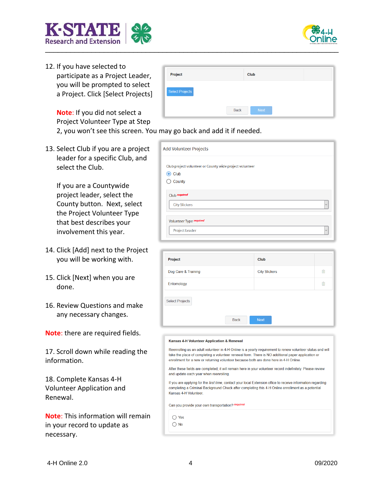

**K-STAT Research and Extension** 

> **Note**: If you did not select a Project Volunteer Type at Step

2, you won't see this screen. You may go back and add it if needed.

Project

**Select Projects** 

13. Select Club if you are a project leader for a specific Club, and select the Club.

> If you are a Countywide project leader, select the County button. Next, select the Project Volunteer Type that best describes your involvement this year.

- 14. Click [Add] next to the Project you will be working with.
- 15. Click [Next] when you are done.
- 16. Review Questions and make any necessary changes.

**Note**: there are required fields.

17. Scroll down while reading the information.

18. Complete Kansas 4-H Volunteer Application and Renewal.

**Note**: This information will remain in your record to update as necessary.

| nay gu back anu auu it ii neeueu.                                       |
|-------------------------------------------------------------------------|
| <b>Add Volunteer Projects</b>                                           |
| Club project volunteer or County wide project volunteer<br>$\odot$ Club |
| County                                                                  |
| Club required                                                           |
| <b>City Slickers</b><br>$\checkmark$                                    |
| Volunteer Type required                                                 |
| <b>Project Leader</b><br>$\checkmark$                                   |

Club

Back

| Project                |             | Club                 |      |
|------------------------|-------------|----------------------|------|
| Dog Care & Training    |             | <b>City Slickers</b> | Till |
| Entomology             |             |                      | Ŵ    |
| <b>Select Projects</b> | <b>Back</b> | <b>Next</b>          |      |

## Kansas 4-H Volunteer Application & Renewal

Reenrolling as an adult volunteer in 4-H Online is a yearly requirement to renew volunteer status and will take the place of completing a volunteer renewal form. There is NO additional paper application or enrollment for a new or returning volunteer because both are done here in 4-H Online.

After these fields are completed, it will remain here in your volunteer record indefinitely. Please review and update each year when reenrolling.

If you are applying for the first time, contact your local Extension office to receive information regarding completing a Criminal Background Check after completing this 4-H Online enrollment as a potential Kansas 4-H Volunteer.

Can you provide your own transportation? required

 $\bigcap$  Yes  $\bigcirc$  No